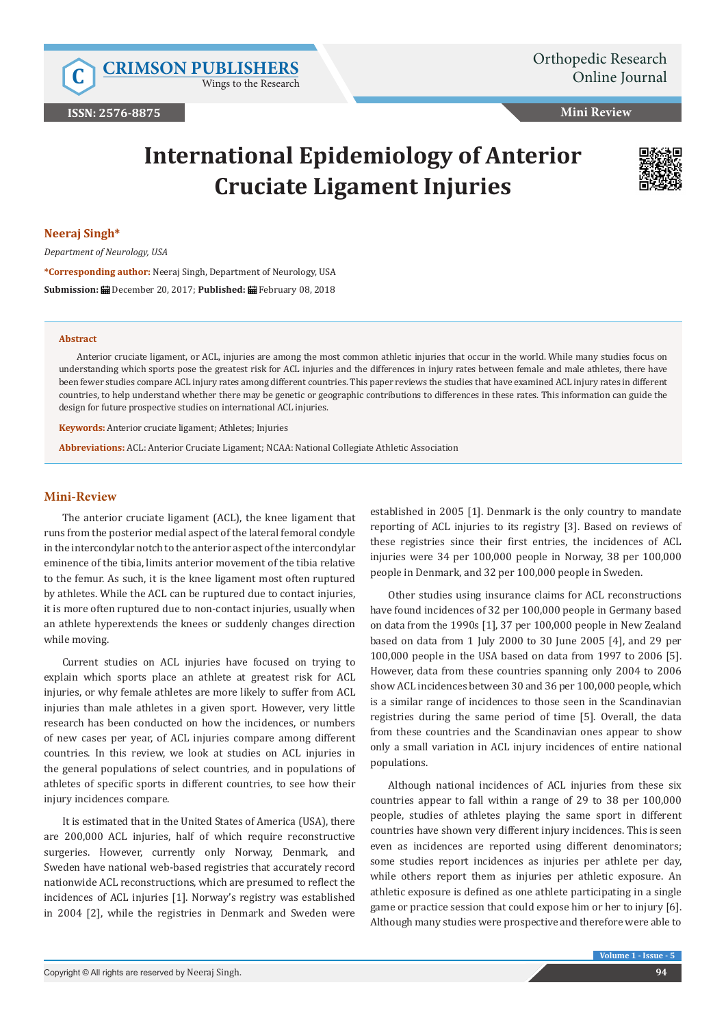Wings to the Research

## **Mini Review**

# **International Epidemiology of Anterior Cruciate Ligament Injuries**



#### **Neeraj Singh\***

*Department of Neurology, USA*

**\*Corresponding author:** Neeraj Singh, Department of Neurology, USA **Submission:** December 20, 2017; **Published:** February 08, 2018

#### **Abstract**

Anterior cruciate ligament, or ACL, injuries are among the most common athletic injuries that occur in the world. While many studies focus on understanding which sports pose the greatest risk for ACL injuries and the differences in injury rates between female and male athletes, there have been fewer studies compare ACL injury rates among different countries. This paper reviews the studies that have examined ACL injury rates in different countries, to help understand whether there may be genetic or geographic contributions to differences in these rates. This information can guide the design for future prospective studies on international ACL injuries.

**Keywords:** Anterior cruciate ligament; Athletes; Injuries

**Abbreviations:** ACL: Anterior Cruciate Ligament; NCAA: National Collegiate Athletic Association

## **Mini-Review**

The anterior cruciate ligament (ACL), the knee ligament that runs from the posterior medial aspect of the lateral femoral condyle in the intercondylar notch to the anterior aspect of the intercondylar eminence of the tibia, limits anterior movement of the tibia relative to the femur. As such, it is the knee ligament most often ruptured by athletes. While the ACL can be ruptured due to contact injuries, it is more often ruptured due to non-contact injuries, usually when an athlete hyperextends the knees or suddenly changes direction while moving.

Current studies on ACL injuries have focused on trying to explain which sports place an athlete at greatest risk for ACL injuries, or why female athletes are more likely to suffer from ACL injuries than male athletes in a given sport. However, very little research has been conducted on how the incidences, or numbers of new cases per year, of ACL injuries compare among different countries. In this review, we look at studies on ACL injuries in the general populations of select countries, and in populations of athletes of specific sports in different countries, to see how their injury incidences compare.

It is estimated that in the United States of America (USA), there are 200,000 ACL injuries, half of which require reconstructive surgeries. However, currently only Norway, Denmark, and Sweden have national web-based registries that accurately record nationwide ACL reconstructions, which are presumed to reflect the incidences of ACL injuries [1]. Norway's registry was established in 2004 [2], while the registries in Denmark and Sweden were

established in 2005 [1]. Denmark is the only country to mandate reporting of ACL injuries to its registry [3]. Based on reviews of these registries since their first entries, the incidences of ACL injuries were 34 per 100,000 people in Norway, 38 per 100,000 people in Denmark, and 32 per 100,000 people in Sweden.

Other studies using insurance claims for ACL reconstructions have found incidences of 32 per 100,000 people in Germany based on data from the 1990s [1], 37 per 100,000 people in New Zealand based on data from 1 July 2000 to 30 June 2005 [4], and 29 per 100,000 people in the USA based on data from 1997 to 2006 [5]. However, data from these countries spanning only 2004 to 2006 show ACL incidences between 30 and 36 per 100,000 people, which is a similar range of incidences to those seen in the Scandinavian registries during the same period of time [5]. Overall, the data from these countries and the Scandinavian ones appear to show only a small variation in ACL injury incidences of entire national populations.

Although national incidences of ACL injuries from these six countries appear to fall within a range of 29 to 38 per 100,000 people, studies of athletes playing the same sport in different countries have shown very different injury incidences. This is seen even as incidences are reported using different denominators; some studies report incidences as injuries per athlete per day, while others report them as injuries per athletic exposure. An athletic exposure is defined as one athlete participating in a single game or practice session that could expose him or her to injury [6]. Although many studies were prospective and therefore were able to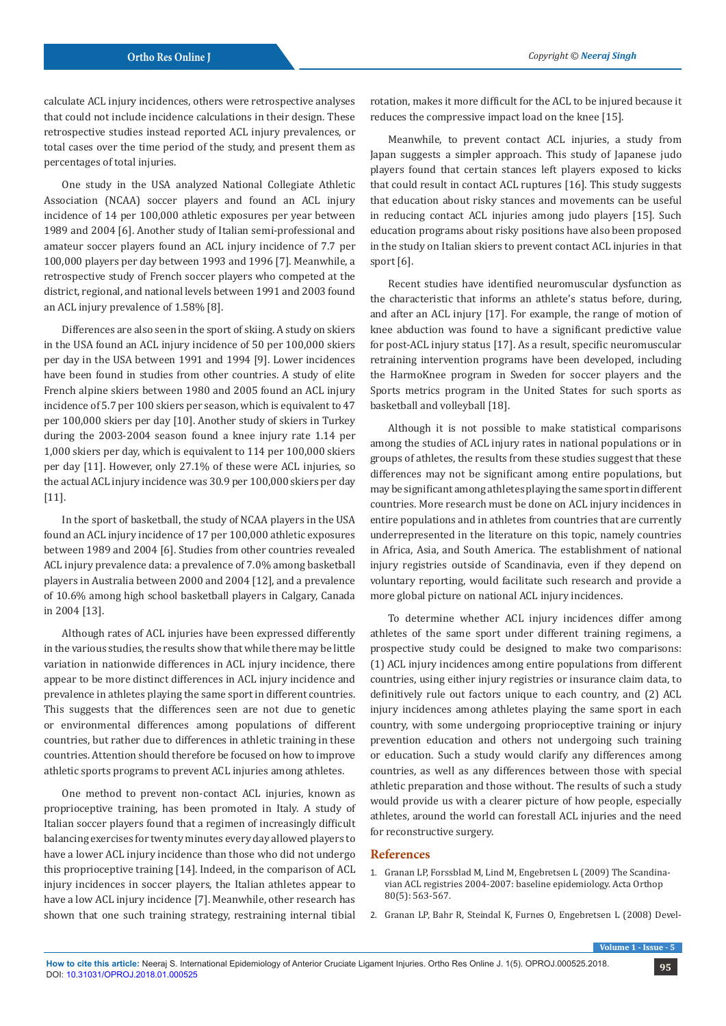calculate ACL injury incidences, others were retrospective analyses that could not include incidence calculations in their design. These retrospective studies instead reported ACL injury prevalences, or total cases over the time period of the study, and present them as percentages of total injuries.

One study in the USA analyzed National Collegiate Athletic Association (NCAA) soccer players and found an ACL injury incidence of 14 per 100,000 athletic exposures per year between 1989 and 2004 [6]. Another study of Italian semi-professional and amateur soccer players found an ACL injury incidence of 7.7 per 100,000 players per day between 1993 and 1996 [7]. Meanwhile, a retrospective study of French soccer players who competed at the district, regional, and national levels between 1991 and 2003 found an ACL injury prevalence of 1.58% [8].

Differences are also seen in the sport of skiing. A study on skiers in the USA found an ACL injury incidence of 50 per 100,000 skiers per day in the USA between 1991 and 1994 [9]. Lower incidences have been found in studies from other countries. A study of elite French alpine skiers between 1980 and 2005 found an ACL injury incidence of 5.7 per 100 skiers per season, which is equivalent to 47 per 100,000 skiers per day [10]. Another study of skiers in Turkey during the 2003-2004 season found a knee injury rate 1.14 per 1,000 skiers per day, which is equivalent to 114 per 100,000 skiers per day [11]. However, only 27.1% of these were ACL injuries, so the actual ACL injury incidence was 30.9 per 100,000 skiers per day [11].

In the sport of basketball, the study of NCAA players in the USA found an ACL injury incidence of 17 per 100,000 athletic exposures between 1989 and 2004 [6]. Studies from other countries revealed ACL injury prevalence data: a prevalence of 7.0% among basketball players in Australia between 2000 and 2004 [12], and a prevalence of 10.6% among high school basketball players in Calgary, Canada in 2004 [13].

Although rates of ACL injuries have been expressed differently in the various studies, the results show that while there may be little variation in nationwide differences in ACL injury incidence, there appear to be more distinct differences in ACL injury incidence and prevalence in athletes playing the same sport in different countries. This suggests that the differences seen are not due to genetic or environmental differences among populations of different countries, but rather due to differences in athletic training in these countries. Attention should therefore be focused on how to improve athletic sports programs to prevent ACL injuries among athletes.

One method to prevent non-contact ACL injuries, known as proprioceptive training, has been promoted in Italy. A study of Italian soccer players found that a regimen of increasingly difficult balancing exercises for twenty minutes every day allowed players to have a lower ACL injury incidence than those who did not undergo this proprioceptive training [14]. Indeed, in the comparison of ACL injury incidences in soccer players, the Italian athletes appear to have a low ACL injury incidence [7]. Meanwhile, other research has shown that one such training strategy, restraining internal tibial rotation, makes it more difficult for the ACL to be injured because it reduces the compressive impact load on the knee [15].

Meanwhile, to prevent contact ACL injuries, a study from Japan suggests a simpler approach. This study of Japanese judo players found that certain stances left players exposed to kicks that could result in contact ACL ruptures [16]. This study suggests that education about risky stances and movements can be useful in reducing contact ACL injuries among judo players [15]. Such education programs about risky positions have also been proposed in the study on Italian skiers to prevent contact ACL injuries in that sport [6].

Recent studies have identified neuromuscular dysfunction as the characteristic that informs an athlete's status before, during, and after an ACL injury [17]. For example, the range of motion of knee abduction was found to have a significant predictive value for post-ACL injury status [17]. As a result, specific neuromuscular retraining intervention programs have been developed, including the HarmoKnee program in Sweden for soccer players and the Sports metrics program in the United States for such sports as basketball and volleyball [18].

Although it is not possible to make statistical comparisons among the studies of ACL injury rates in national populations or in groups of athletes, the results from these studies suggest that these differences may not be significant among entire populations, but may be significant among athletes playing the same sport in different countries. More research must be done on ACL injury incidences in entire populations and in athletes from countries that are currently underrepresented in the literature on this topic, namely countries in Africa, Asia, and South America. The establishment of national injury registries outside of Scandinavia, even if they depend on voluntary reporting, would facilitate such research and provide a more global picture on national ACL injury incidences.

To determine whether ACL injury incidences differ among athletes of the same sport under different training regimens, a prospective study could be designed to make two comparisons: (1) ACL injury incidences among entire populations from different countries, using either injury registries or insurance claim data, to definitively rule out factors unique to each country, and (2) ACL injury incidences among athletes playing the same sport in each country, with some undergoing proprioceptive training or injury prevention education and others not undergoing such training or education. Such a study would clarify any differences among countries, as well as any differences between those with special athletic preparation and those without. The results of such a study would provide us with a clearer picture of how people, especially athletes, around the world can forestall ACL injuries and the need for reconstructive surgery.

# **References**

- 1. [Granan LP, Forssblad M, Lind M, Engebretsen L \(2009\) The Scandina](https://www.ncbi.nlm.nih.gov/pubmed/19916690)[vian ACL registries 2004-2007: baseline epidemiology. Acta Orthop](https://www.ncbi.nlm.nih.gov/pubmed/19916690)  [80\(5\): 563-567.](https://www.ncbi.nlm.nih.gov/pubmed/19916690)
- 2. [Granan LP, Bahr R, Steindal K, Furnes O, Engebretsen L \(2008\) Devel-](https://www.ncbi.nlm.nih.gov/pubmed/17989167)

**Volume 1 - Issue - 5**